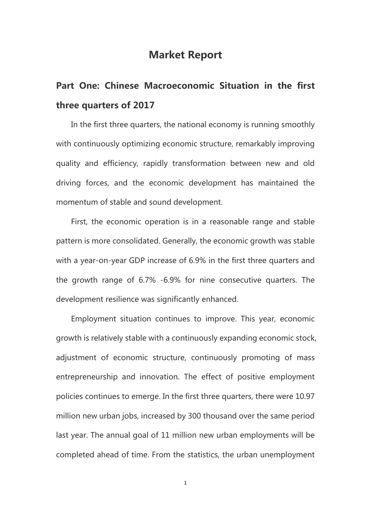## **Market Report**

## **Part One: Chinese Macroeconomic Situation in the first three quarters of 2017**

In the first three quarters, the national economy is running smoothly with continuously optimizing economic structure, remarkably improving quality and efficiency, rapidly transformation between new and old driving forces, and the economic development has maintained the momentum of stable and sound development.

First, the economic operation is in a reasonable range and stable pattern is more consolidated. Generally, the economic growth was stable with a year-on-year GDP increase of 6.9% in the first three quarters and the growth range of 6.7% -6.9% for nine consecutive quarters. The development resilience was significantly enhanced.

Employment situation continues to improve. This year, economic growth is relatively stable with a continuously expanding economic stock, adjustment of economic structure, continuously promoting of mass entrepreneurship and innovation. The effect of positive employment policies continues to emerge. In the first three quarters, there were 10.97 million new urban jobs, increased by 300 thousand over the same period last year. The annual goal of 11 million new urban employments will be completed ahead of time. From the statistics, the urban unemployment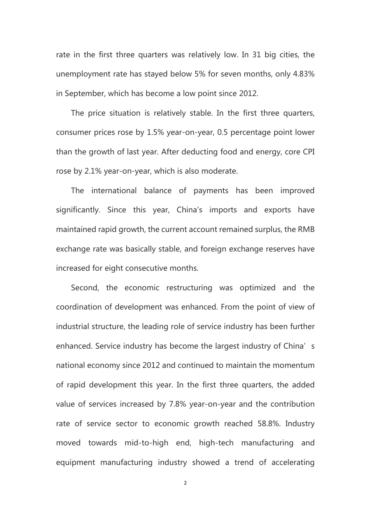rate in the first three quarters was relatively low. In 31 big cities, the unemployment rate has stayed below 5% for seven months, only 4.83% in September, which has become a low point since 2012.

The price situation is relatively stable. In the first three quarters, consumer prices rose by 1.5% year-on-year, 0.5 percentage point lower than the growth of last year. After deducting food and energy, core CPI rose by 2.1% year-on-year, which is also moderate.

The international balance of payments has been improved significantly. Since this year, China's imports and exports have maintained rapid growth, the current account remained surplus, the RMB exchange rate was basically stable, and foreign exchange reserves have increased for eight consecutive months.

Second, the economic restructuring was optimized and the coordination of development was enhanced. From the point of view of industrial structure, the leading role of service industry has been further enhanced. Service industry has become the largest industry of China's national economy since 2012 and continued to maintain the momentum of rapid development this year. In the first three quarters, the added value of services increased by 7.8% year-on-year and the contribution rate of service sector to economic growth reached 58.8%. Industry moved towards mid-to-high end, high-tech manufacturing and equipment manufacturing industry showed a trend of accelerating

 $\overline{2}$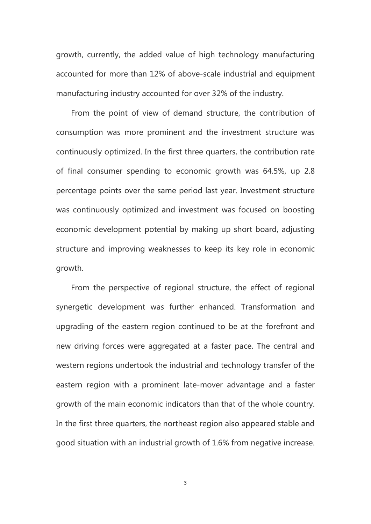growth, currently, the added value of high technology manufacturing accounted for more than 12% of above-scale industrial and equipment manufacturing industry accounted for over 32% of the industry.

From the point of view of demand structure, the contribution of consumption was more prominent and the investment structure was continuously optimized. In the first three quarters, the contribution rate of final consumer spending to economic growth was 64.5%, up 2.8 percentage points over the same period last year. Investment structure was continuously optimized and investment was focused on boosting economic development potential by making up short board, adjusting structure and improving weaknesses to keep its key role in economic growth.

From the perspective of regional structure, the effect of regional synergetic development was further enhanced. Transformation and upgrading of the eastern region continued to be at the forefront and new driving forces were aggregated at a faster pace. The central and western regions undertook the industrial and technology transfer of the eastern region with a prominent late-mover advantage and a faster growth of the main economic indicators than that of the whole country. In the first three quarters, the northeast region also appeared stable and good situation with an industrial growth of 1.6% from negative increase.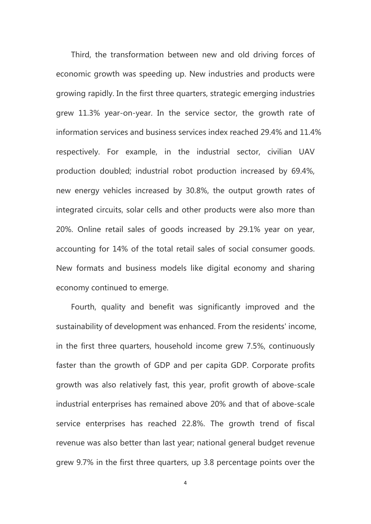Third, the transformation between new and old driving forces of economic growth was speeding up. New industries and products were growing rapidly. In the first three quarters, strategic emerging industries grew 11.3% year-on-year. In the service sector, the growth rate of information services and business services index reached 29.4% and 11.4% respectively. For example, in the industrial sector, civilian UAV production doubled; industrial robot production increased by 69.4%, new energy vehicles increased by 30.8%, the output growth rates of integrated circuits, solar cells and other products were also more than 20%. Online retail sales of goods increased by 29.1% year on year, accounting for 14% of the total retail sales of social consumer goods. New formats and business models like digital economy and sharing economy continued to emerge.

Fourth, quality and benefit was significantly improved and the sustainability of development was enhanced. From the residents' income, in the first three quarters, household income grew 7.5%, continuously faster than the growth of GDP and per capita GDP. Corporate profits growth was also relatively fast, this year, profit growth of above-scale industrial enterprises has remained above 20% and that of above-scale service enterprises has reached 22.8%. The growth trend of fiscal revenue was also better than last year; national general budget revenue grew 9.7% in the first three quarters, up 3.8 percentage points over the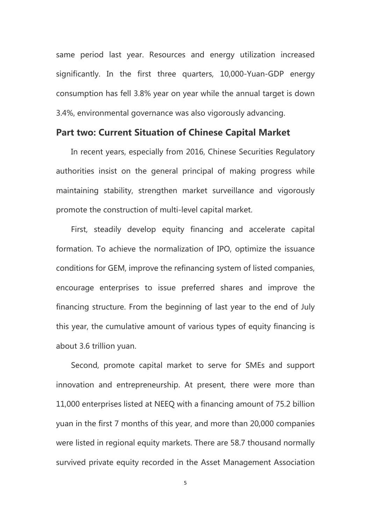same period last year. Resources and energy utilization increased significantly. In the first three quarters, 10,000-Yuan-GDP energy consumption has fell 3.8% year on year while the annual target is down 3.4%, environmental governance was also vigorously advancing.

## **Part two: Current Situation of Chinese Capital Market**

In recent years, especially from 2016, Chinese Securities Regulatory authorities insist on the general principal of making progress while maintaining stability, strengthen market surveillance and vigorously promote the construction of multi-level capital market.

First, steadily develop equity financing and accelerate capital formation. To achieve the normalization of IPO, optimize the issuance conditions for GEM, improve the refinancing system of listed companies, encourage enterprises to issue preferred shares and improve the financing structure. From the beginning of last year to the end of July this year, the cumulative amount of various types of equity financing is about 3.6 trillion yuan.

Second, promote capital market to serve for SMEs and support innovation and entrepreneurship. At present, there were more than 11,000 enterprises listed at NEEQ with a financing amount of 75.2 billion yuan in the first 7 months of this year, and more than 20,000 companies were listed in regional equity markets. There are 58.7 thousand normally survived private equity recorded in the Asset Management Association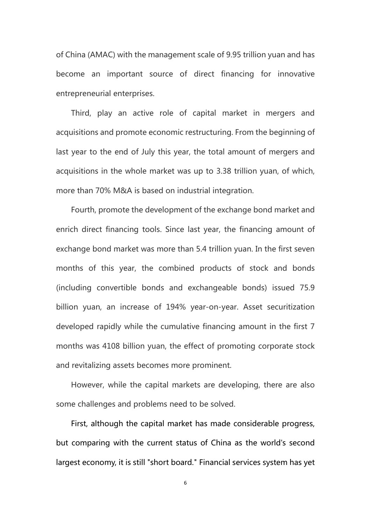of China (AMAC) with the management scale of 9.95 trillion yuan and has become an important source of direct financing for innovative entrepreneurial enterprises.

Third, play an active role of capital market in mergers and acquisitions and promote economic restructuring. From the beginning of last year to the end of July this year, the total amount of mergers and acquisitions in the whole market was up to 3.38 trillion yuan, of which, more than 70% M&A is based on industrial integration.

Fourth, promote the development of the exchange bond market and enrich direct financing tools. Since last year, the financing amount of exchange bond market was more than 5.4 trillion yuan. In the first seven months of this year, the combined products of stock and bonds (including convertible bonds and exchangeable bonds) issued 75.9 billion yuan, an increase of 194% year-on-year. Asset securitization developed rapidly while the cumulative financing amount in the first 7 months was 4108 billion yuan, the effect of promoting corporate stock and revitalizing assets becomes more prominent.

However, while the capital markets are developing, there are also some challenges and problems need to be solved.

First, although the capital market has made considerable progress, but comparing with the current status of China as the world's second largest economy, it is still "short board." Financial services system has yet